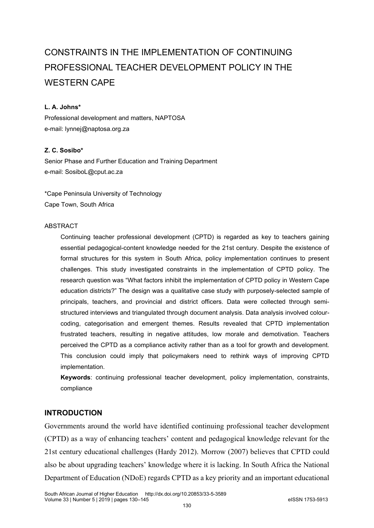# CONSTRAINTS IN THE IMPLEMENTATION OF CONTINUING PROFESSIONAL TEACHER DEVELOPMENT POLICY IN THE WESTERN CAPE

## **L. A. Johns\***

Professional development and matters, NAPTOSA e-mail: lynnej@naptosa.org.za

## **Z. C. Sosibo\***

Senior Phase and Further Education and Training Department e-mail: SosiboL@cput.ac.za

\*Cape Peninsula University of Technology Cape Town, South Africa

## **ABSTRACT**

Continuing teacher professional development (CPTD) is regarded as key to teachers gaining essential pedagogical-content knowledge needed for the 21st century. Despite the existence of formal structures for this system in South Africa, policy implementation continues to present challenges. This study investigated constraints in the implementation of CPTD policy. The research question was "What factors inhibit the implementation of CPTD policy in Western Cape education districts?" The design was a qualitative case study with purposely-selected sample of principals, teachers, and provincial and district officers. Data were collected through semistructured interviews and triangulated through document analysis. Data analysis involved colourcoding, categorisation and emergent themes. Results revealed that CPTD implementation frustrated teachers, resulting in negative attitudes, low morale and demotivation. Teachers perceived the CPTD as a compliance activity rather than as a tool for growth and development. This conclusion could imply that policymakers need to rethink ways of improving CPTD implementation.

**Keywords**: continuing professional teacher development, policy implementation, constraints, compliance

# **INTRODUCTION**

Governments around the world have identified continuing professional teacher development (CPTD) as a way of enhancing teachers' content and pedagogical knowledge relevant for the 21st century educational challenges (Hardy 2012). Morrow (2007) believes that CPTD could also be about upgrading teachers' knowledge where it is lacking. In South Africa the National Department of Education (NDoE) regards CPTD as a key priority and an important educational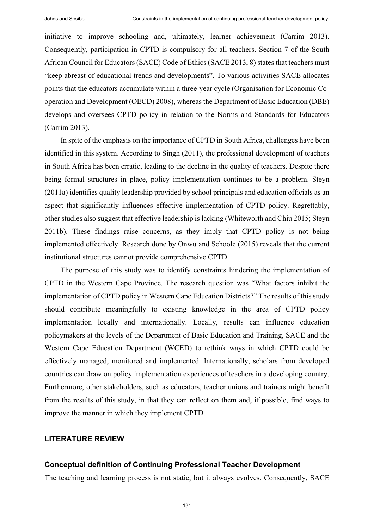initiative to improve schooling and, ultimately, learner achievement (Carrim 2013). Consequently, participation in CPTD is compulsory for all teachers. Section 7 of the South African Council for Educators (SACE) Code of Ethics (SACE 2013, 8) states that teachers must "keep abreast of educational trends and developments". To various activities SACE allocates points that the educators accumulate within a three-year cycle (Organisation for Economic Cooperation and Development (OECD) 2008), whereas the Department of Basic Education (DBE) develops and oversees CPTD policy in relation to the Norms and Standards for Educators (Carrim 2013).

In spite of the emphasis on the importance of CPTD in South Africa, challenges have been identified in this system. According to Singh (2011), the professional development of teachers in South Africa has been erratic, leading to the decline in the quality of teachers. Despite there being formal structures in place, policy implementation continues to be a problem. Steyn (2011a) identifies quality leadership provided by school principals and education officials as an aspect that significantly influences effective implementation of CPTD policy. Regrettably, other studies also suggest that effective leadership is lacking (Whiteworth and Chiu 2015; Steyn 2011b). These findings raise concerns, as they imply that CPTD policy is not being implemented effectively. Research done by Onwu and Sehoole (2015) reveals that the current institutional structures cannot provide comprehensive CPTD.

The purpose of this study was to identify constraints hindering the implementation of CPTD in the Western Cape Province. The research question was "What factors inhibit the implementation of CPTD policy in Western Cape Education Districts?" The results of this study should contribute meaningfully to existing knowledge in the area of CPTD policy implementation locally and internationally. Locally, results can influence education policymakers at the levels of the Department of Basic Education and Training, SACE and the Western Cape Education Department (WCED) to rethink ways in which CPTD could be effectively managed, monitored and implemented. Internationally, scholars from developed countries can draw on policy implementation experiences of teachers in a developing country. Furthermore, other stakeholders, such as educators, teacher unions and trainers might benefit from the results of this study, in that they can reflect on them and, if possible, find ways to improve the manner in which they implement CPTD.

## **LITERATURE REVIEW**

## **Conceptual definition of Continuing Professional Teacher Development**

The teaching and learning process is not static, but it always evolves. Consequently, SACE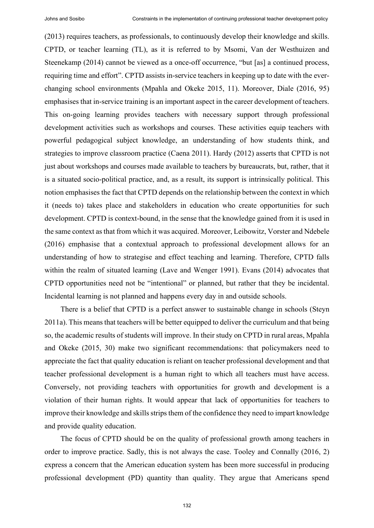(2013) requires teachers, as professionals, to continuously develop their knowledge and skills. CPTD, or teacher learning (TL), as it is referred to by Msomi, Van der Westhuizen and Steenekamp (2014) cannot be viewed as a once-off occurrence, "but [as] a continued process, requiring time and effort". CPTD assists in-service teachers in keeping up to date with the everchanging school environments (Mpahla and Okeke 2015, 11). Moreover, Diale (2016, 95) emphasises that in-service training is an important aspect in the career development of teachers. This on-going learning provides teachers with necessary support through professional development activities such as workshops and courses. These activities equip teachers with powerful pedagogical subject knowledge, an understanding of how students think, and strategies to improve classroom practice (Caena 2011). Hardy (2012) asserts that CPTD is not just about workshops and courses made available to teachers by bureaucrats, but, rather, that it is a situated socio-political practice, and, as a result, its support is intrinsically political. This notion emphasises the fact that CPTD depends on the relationship between the context in which it (needs to) takes place and stakeholders in education who create opportunities for such development. CPTD is context-bound, in the sense that the knowledge gained from it is used in the same context as that from which it was acquired. Moreover, Leibowitz, Vorster and Ndebele (2016) emphasise that a contextual approach to professional development allows for an understanding of how to strategise and effect teaching and learning. Therefore, CPTD falls within the realm of situated learning (Lave and Wenger 1991). Evans (2014) advocates that CPTD opportunities need not be "intentional" or planned, but rather that they be incidental. Incidental learning is not planned and happens every day in and outside schools.

There is a belief that CPTD is a perfect answer to sustainable change in schools (Steyn 2011a). This means that teachers will be better equipped to deliver the curriculum and that being so, the academic results of students will improve. In their study on CPTD in rural areas, Mpahla and Okeke (2015, 30) make two significant recommendations: that policymakers need to appreciate the fact that quality education is reliant on teacher professional development and that teacher professional development is a human right to which all teachers must have access. Conversely, not providing teachers with opportunities for growth and development is a violation of their human rights. It would appear that lack of opportunities for teachers to improve their knowledge and skills strips them of the confidence they need to impart knowledge and provide quality education.

The focus of CPTD should be on the quality of professional growth among teachers in order to improve practice. Sadly, this is not always the case. Tooley and Connally (2016, 2) express a concern that the American education system has been more successful in producing professional development (PD) quantity than quality. They argue that Americans spend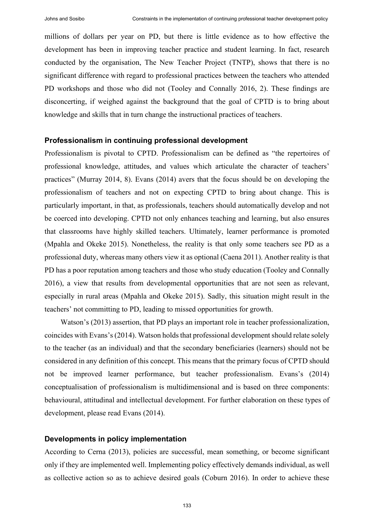millions of dollars per year on PD, but there is little evidence as to how effective the development has been in improving teacher practice and student learning. In fact, research conducted by the organisation, The New Teacher Project (TNTP), shows that there is no significant difference with regard to professional practices between the teachers who attended PD workshops and those who did not (Tooley and Connally 2016, 2). These findings are disconcerting, if weighed against the background that the goal of CPTD is to bring about knowledge and skills that in turn change the instructional practices of teachers.

## **Professionalism in continuing professional development**

Professionalism is pivotal to CPTD. Professionalism can be defined as "the repertoires of professional knowledge, attitudes, and values which articulate the character of teachers' practices" (Murray 2014, 8). Evans (2014) avers that the focus should be on developing the professionalism of teachers and not on expecting CPTD to bring about change. This is particularly important, in that, as professionals, teachers should automatically develop and not be coerced into developing. CPTD not only enhances teaching and learning, but also ensures that classrooms have highly skilled teachers. Ultimately, learner performance is promoted (Mpahla and Okeke 2015). Nonetheless, the reality is that only some teachers see PD as a professional duty, whereas many others view it as optional (Caena 2011). Another reality is that PD has a poor reputation among teachers and those who study education (Tooley and Connally 2016), a view that results from developmental opportunities that are not seen as relevant, especially in rural areas (Mpahla and Okeke 2015). Sadly, this situation might result in the teachers' not committing to PD, leading to missed opportunities for growth.

Watson's (2013) assertion, that PD plays an important role in teacher professionalization, coincides with Evans's (2014). Watson holds that professional development should relate solely to the teacher (as an individual) and that the secondary beneficiaries (learners) should not be considered in any definition of this concept. This means that the primary focus of CPTD should not be improved learner performance, but teacher professionalism. Evans's (2014) conceptualisation of professionalism is multidimensional and is based on three components: behavioural, attitudinal and intellectual development. For further elaboration on these types of development, please read Evans (2014).

#### **Developments in policy implementation**

According to Cerna (2013), policies are successful, mean something, or become significant only if they are implemented well. Implementing policy effectively demands individual, as well as collective action so as to achieve desired goals (Coburn 2016). In order to achieve these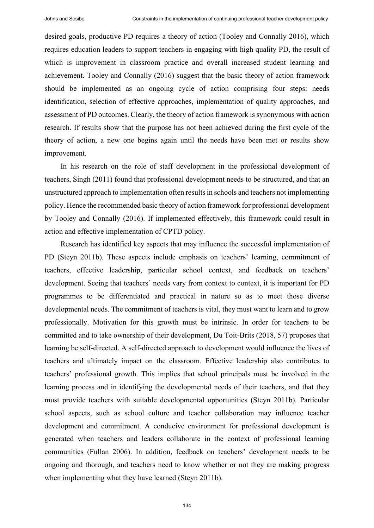desired goals, productive PD requires a theory of action (Tooley and Connally 2016), which requires education leaders to support teachers in engaging with high quality PD, the result of which is improvement in classroom practice and overall increased student learning and achievement. Tooley and Connally (2016) suggest that the basic theory of action framework should be implemented as an ongoing cycle of action comprising four steps: needs identification, selection of effective approaches, implementation of quality approaches, and assessment of PD outcomes. Clearly, the theory of action framework is synonymous with action research. If results show that the purpose has not been achieved during the first cycle of the theory of action, a new one begins again until the needs have been met or results show improvement.

In his research on the role of staff development in the professional development of teachers, Singh (2011) found that professional development needs to be structured, and that an unstructured approach to implementation often results in schools and teachers not implementing policy. Hence the recommended basic theory of action framework for professional development by Tooley and Connally (2016). If implemented effectively, this framework could result in action and effective implementation of CPTD policy.

Research has identified key aspects that may influence the successful implementation of PD (Steyn 2011b). These aspects include emphasis on teachers' learning, commitment of teachers, effective leadership, particular school context, and feedback on teachers' development. Seeing that teachers' needs vary from context to context, it is important for PD programmes to be differentiated and practical in nature so as to meet those diverse developmental needs. The commitment of teachers is vital, they must want to learn and to grow professionally. Motivation for this growth must be intrinsic. In order for teachers to be committed and to take ownership of their development, Du Toit-Brits (2018, 57) proposes that learning be self-directed. A self-directed approach to development would influence the lives of teachers and ultimately impact on the classroom. Effective leadership also contributes to teachers' professional growth. This implies that school principals must be involved in the learning process and in identifying the developmental needs of their teachers, and that they must provide teachers with suitable developmental opportunities (Steyn 2011b). Particular school aspects, such as school culture and teacher collaboration may influence teacher development and commitment. A conducive environment for professional development is generated when teachers and leaders collaborate in the context of professional learning communities (Fullan 2006). In addition, feedback on teachers' development needs to be ongoing and thorough, and teachers need to know whether or not they are making progress when implementing what they have learned (Steyn 2011b).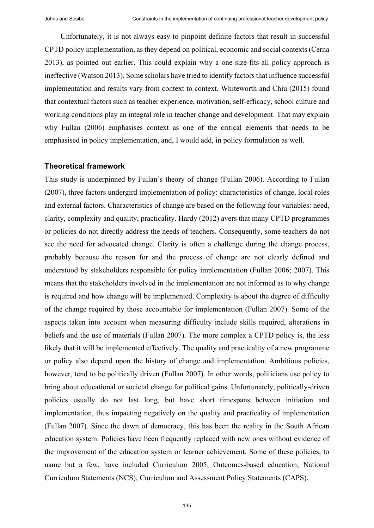Unfortunately, it is not always easy to pinpoint definite factors that result in successful CPTD policy implementation, as they depend on political, economic and social contexts (Cerna 2013), as pointed out earlier. This could explain why a one-size-fits-all policy approach is ineffective (Watson 2013). Some scholars have tried to identify factors that influence successful implementation and results vary from context to context. Whiteworth and Chiu (2015) found that contextual factors such as teacher experience, motivation, self-efficacy, school culture and working conditions play an integral role in teacher change and development. That may explain why Fullan (2006) emphasises context as one of the critical elements that needs to be emphasised in policy implementation, and, I would add, in policy formulation as well.

#### **Theoretical framework**

This study is underpinned by Fullan's theory of change (Fullan 2006). According to Fullan (2007), three factors undergird implementation of policy: characteristics of change, local roles and external factors. Characteristics of change are based on the following four variables: need, clarity, complexity and quality, practicality. Hardy (2012) avers that many CPTD programmes or policies do not directly address the needs of teachers. Consequently, some teachers do not see the need for advocated change. Clarity is often a challenge during the change process, probably because the reason for and the process of change are not clearly defined and understood by stakeholders responsible for policy implementation (Fullan 2006; 2007). This means that the stakeholders involved in the implementation are not informed as to why change is required and how change will be implemented. Complexity is about the degree of difficulty of the change required by those accountable for implementation (Fullan 2007). Some of the aspects taken into account when measuring difficulty include skills required, alterations in beliefs and the use of materials (Fullan 2007). The more complex a CPTD policy is, the less likely that it will be implemented effectively. The quality and practicality of a new programme or policy also depend upon the history of change and implementation. Ambitious policies, however, tend to be politically driven (Fullan 2007). In other words, politicians use policy to bring about educational or societal change for political gains. Unfortunately, politically-driven policies usually do not last long, but have short timespans between initiation and implementation, thus impacting negatively on the quality and practicality of implementation (Fullan 2007). Since the dawn of democracy, this has been the reality in the South African education system. Policies have been frequently replaced with new ones without evidence of the improvement of the education system or learner achievement. Some of these policies, to name but a few, have included Curriculum 2005, Outcomes-based education; National Curriculum Statements (NCS); Curriculum and Assessment Policy Statements (CAPS).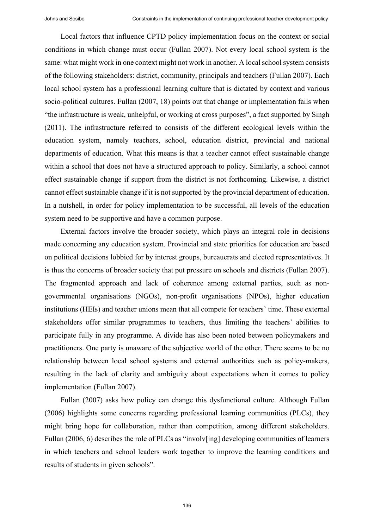Local factors that influence CPTD policy implementation focus on the context or social conditions in which change must occur (Fullan 2007). Not every local school system is the same: what might work in one context might not work in another. A local school system consists of the following stakeholders: district, community, principals and teachers (Fullan 2007). Each local school system has a professional learning culture that is dictated by context and various socio-political cultures. Fullan (2007, 18) points out that change or implementation fails when "the infrastructure is weak, unhelpful, or working at cross purposes", a fact supported by Singh (2011). The infrastructure referred to consists of the different ecological levels within the education system, namely teachers, school, education district, provincial and national departments of education. What this means is that a teacher cannot effect sustainable change within a school that does not have a structured approach to policy. Similarly, a school cannot effect sustainable change if support from the district is not forthcoming. Likewise, a district cannot effect sustainable change if it is not supported by the provincial department of education. In a nutshell, in order for policy implementation to be successful, all levels of the education system need to be supportive and have a common purpose.

External factors involve the broader society, which plays an integral role in decisions made concerning any education system. Provincial and state priorities for education are based on political decisions lobbied for by interest groups, bureaucrats and elected representatives. It is thus the concerns of broader society that put pressure on schools and districts (Fullan 2007). The fragmented approach and lack of coherence among external parties, such as nongovernmental organisations (NGOs), non-profit organisations (NPOs), higher education institutions (HEIs) and teacher unions mean that all compete for teachers' time. These external stakeholders offer similar programmes to teachers, thus limiting the teachers' abilities to participate fully in any programme. A divide has also been noted between policymakers and practitioners. One party is unaware of the subjective world of the other. There seems to be no relationship between local school systems and external authorities such as policy-makers, resulting in the lack of clarity and ambiguity about expectations when it comes to policy implementation (Fullan 2007).

Fullan (2007) asks how policy can change this dysfunctional culture. Although Fullan (2006) highlights some concerns regarding professional learning communities (PLCs), they might bring hope for collaboration, rather than competition, among different stakeholders. Fullan (2006, 6) describes the role of PLCs as "involv[ing] developing communities of learners in which teachers and school leaders work together to improve the learning conditions and results of students in given schools".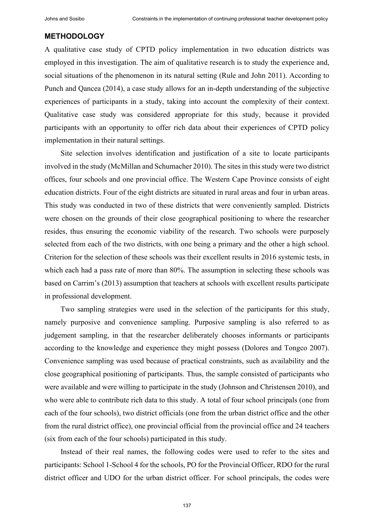## **METHODOLOGY**

A qualitative case study of CPTD policy implementation in two education districts was employed in this investigation. The aim of qualitative research is to study the experience and, social situations of the phenomenon in its natural setting (Rule and John 2011). According to Punch and Qancea (2014), a case study allows for an in-depth understanding of the subjective experiences of participants in a study, taking into account the complexity of their context. Qualitative case study was considered appropriate for this study, because it provided participants with an opportunity to offer rich data about their experiences of CPTD policy implementation in their natural settings.

Site selection involves identification and justification of a site to locate participants involved in the study (McMillan and Schumacher 2010). The sites in this study were two district offices, four schools and one provincial office. The Western Cape Province consists of eight education districts. Four of the eight districts are situated in rural areas and four in urban areas. This study was conducted in two of these districts that were conveniently sampled. Districts were chosen on the grounds of their close geographical positioning to where the researcher resides, thus ensuring the economic viability of the research. Two schools were purposely selected from each of the two districts, with one being a primary and the other a high school. Criterion for the selection of these schools was their excellent results in 2016 systemic tests, in which each had a pass rate of more than 80%. The assumption in selecting these schools was based on Carrim's (2013) assumption that teachers at schools with excellent results participate in professional development.

Two sampling strategies were used in the selection of the participants for this study, namely purposive and convenience sampling. Purposive sampling is also referred to as judgement sampling, in that the researcher deliberately chooses informants or participants according to the knowledge and experience they might possess (Dolores and Tongco 2007). Convenience sampling was used because of practical constraints, such as availability and the close geographical positioning of participants. Thus, the sample consisted of participants who were available and were willing to participate in the study (Johnson and Christensen 2010), and who were able to contribute rich data to this study. A total of four school principals (one from each of the four schools), two district officials (one from the urban district office and the other from the rural district office), one provincial official from the provincial office and 24 teachers (six from each of the four schools) participated in this study.

Instead of their real names, the following codes were used to refer to the sites and participants: School 1-School 4 for the schools, PO for the Provincial Officer, RDO for the rural district officer and UDO for the urban district officer. For school principals, the codes were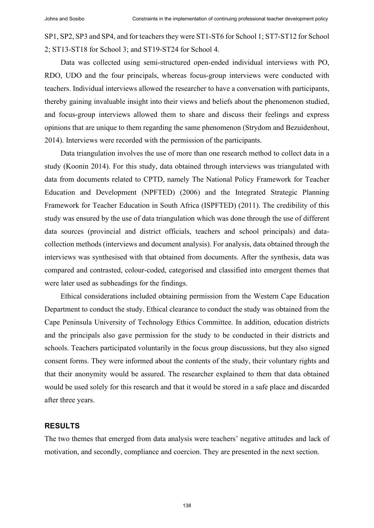SP1, SP2, SP3 and SP4, and for teachers they were ST1-ST6 for School 1; ST7-ST12 for School 2; ST13-ST18 for School 3; and ST19-ST24 for School 4.

Data was collected using semi-structured open-ended individual interviews with PO, RDO, UDO and the four principals, whereas focus-group interviews were conducted with teachers. Individual interviews allowed the researcher to have a conversation with participants, thereby gaining invaluable insight into their views and beliefs about the phenomenon studied, and focus-group interviews allowed them to share and discuss their feelings and express opinions that are unique to them regarding the same phenomenon (Strydom and Bezuidenhout, 2014). Interviews were recorded with the permission of the participants.

Data triangulation involves the use of more than one research method to collect data in a study (Koonin 2014). For this study, data obtained through interviews was triangulated with data from documents related to CPTD, namely The National Policy Framework for Teacher Education and Development (NPFTED) (2006) and the Integrated Strategic Planning Framework for Teacher Education in South Africa (ISPFTED) (2011). The credibility of this study was ensured by the use of data triangulation which was done through the use of different data sources (provincial and district officials, teachers and school principals) and datacollection methods (interviews and document analysis). For analysis, data obtained through the interviews was synthesised with that obtained from documents. After the synthesis, data was compared and contrasted, colour-coded, categorised and classified into emergent themes that were later used as subheadings for the findings.

Ethical considerations included obtaining permission from the Western Cape Education Department to conduct the study. Ethical clearance to conduct the study was obtained from the Cape Peninsula University of Technology Ethics Committee. In addition, education districts and the principals also gave permission for the study to be conducted in their districts and schools. Teachers participated voluntarily in the focus group discussions, but they also signed consent forms. They were informed about the contents of the study, their voluntary rights and that their anonymity would be assured. The researcher explained to them that data obtained would be used solely for this research and that it would be stored in a safe place and discarded after three years.

## **RESULTS**

The two themes that emerged from data analysis were teachers' negative attitudes and lack of motivation, and secondly, compliance and coercion. They are presented in the next section.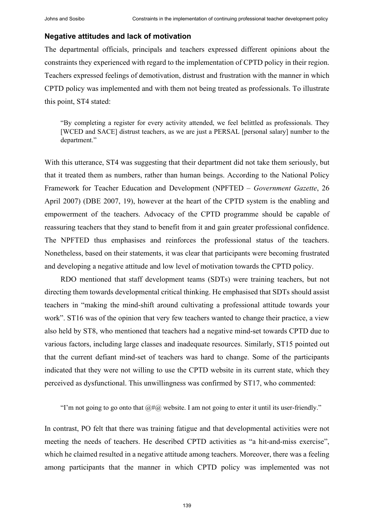# **Negative attitudes and lack of motivation**

The departmental officials, principals and teachers expressed different opinions about the constraints they experienced with regard to the implementation of CPTD policy in their region. Teachers expressed feelings of demotivation, distrust and frustration with the manner in which CPTD policy was implemented and with them not being treated as professionals. To illustrate this point, ST4 stated:

"By completing a register for every activity attended, we feel belittled as professionals. They [WCED and SACE] distrust teachers, as we are just a PERSAL [personal salary] number to the department."

With this utterance, ST4 was suggesting that their department did not take them seriously, but that it treated them as numbers, rather than human beings. According to the National Policy Framework for Teacher Education and Development (NPFTED – *Government Gazette*, 26 April 2007) (DBE 2007, 19), however at the heart of the CPTD system is the enabling and empowerment of the teachers. Advocacy of the CPTD programme should be capable of reassuring teachers that they stand to benefit from it and gain greater professional confidence. The NPFTED thus emphasises and reinforces the professional status of the teachers. Nonetheless, based on their statements, it was clear that participants were becoming frustrated and developing a negative attitude and low level of motivation towards the CPTD policy.

RDO mentioned that staff development teams (SDTs) were training teachers, but not directing them towards developmental critical thinking. He emphasised that SDTs should assist teachers in "making the mind-shift around cultivating a professional attitude towards your work". ST16 was of the opinion that very few teachers wanted to change their practice, a view also held by ST8, who mentioned that teachers had a negative mind-set towards CPTD due to various factors, including large classes and inadequate resources. Similarly, ST15 pointed out that the current defiant mind-set of teachers was hard to change. Some of the participants indicated that they were not willing to use the CPTD website in its current state, which they perceived as dysfunctional. This unwillingness was confirmed by ST17, who commented:

"I'm not going to go onto that  $\mathcal{Q}_t \sharp \mathcal{Q}_t$  website. I am not going to enter it until its user-friendly."

In contrast, PO felt that there was training fatigue and that developmental activities were not meeting the needs of teachers. He described CPTD activities as "a hit-and-miss exercise", which he claimed resulted in a negative attitude among teachers. Moreover, there was a feeling among participants that the manner in which CPTD policy was implemented was not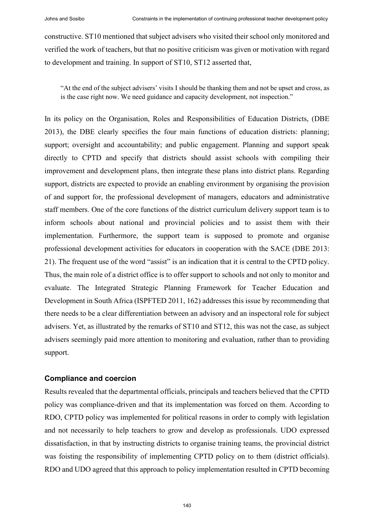constructive. ST10 mentioned that subject advisers who visited their school only monitored and verified the work of teachers, but that no positive criticism was given or motivation with regard to development and training. In support of ST10, ST12 asserted that,

"At the end of the subject advisers' visits I should be thanking them and not be upset and cross, as is the case right now. We need guidance and capacity development, not inspection."

In its policy on the Organisation, Roles and Responsibilities of Education Districts, (DBE 2013), the DBE clearly specifies the four main functions of education districts: planning; support; oversight and accountability; and public engagement. Planning and support speak directly to CPTD and specify that districts should assist schools with compiling their improvement and development plans, then integrate these plans into district plans. Regarding support, districts are expected to provide an enabling environment by organising the provision of and support for, the professional development of managers, educators and administrative staff members. One of the core functions of the district curriculum delivery support team is to inform schools about national and provincial policies and to assist them with their implementation. Furthermore, the support team is supposed to promote and organise professional development activities for educators in cooperation with the SACE (DBE 2013: 21). The frequent use of the word "assist" is an indication that it is central to the CPTD policy. Thus, the main role of a district office is to offer support to schools and not only to monitor and evaluate. The Integrated Strategic Planning Framework for Teacher Education and Development in South Africa (ISPFTED 2011, 162) addresses this issue by recommending that there needs to be a clear differentiation between an advisory and an inspectoral role for subject advisers. Yet, as illustrated by the remarks of ST10 and ST12, this was not the case, as subject advisers seemingly paid more attention to monitoring and evaluation, rather than to providing support.

# **Compliance and coercion**

Results revealed that the departmental officials, principals and teachers believed that the CPTD policy was compliance-driven and that its implementation was forced on them. According to RDO, CPTD policy was implemented for political reasons in order to comply with legislation and not necessarily to help teachers to grow and develop as professionals. UDO expressed dissatisfaction, in that by instructing districts to organise training teams, the provincial district was foisting the responsibility of implementing CPTD policy on to them (district officials). RDO and UDO agreed that this approach to policy implementation resulted in CPTD becoming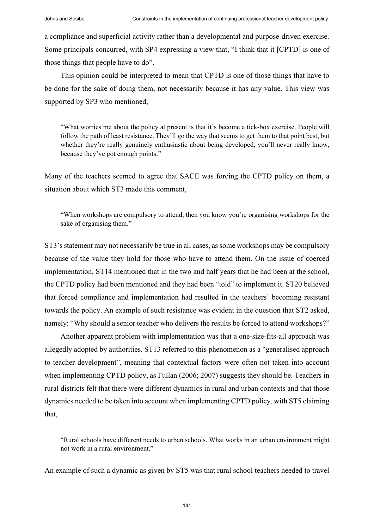a compliance and superficial activity rather than a developmental and purpose-driven exercise. Some principals concurred, with SP4 expressing a view that, "I think that it [CPTD] is one of those things that people have to do".

This opinion could be interpreted to mean that CPTD is one of those things that have to be done for the sake of doing them, not necessarily because it has any value. This view was supported by SP3 who mentioned,

"What worries me about the policy at present is that it's become a tick-box exercise. People will follow the path of least resistance. They'll go the way that seems to get them to that point best, but whether they're really genuinely enthusiastic about being developed, you'll never really know, because they've got enough points."

Many of the teachers seemed to agree that SACE was forcing the CPTD policy on them, a situation about which ST3 made this comment,

"When workshops are compulsory to attend, then you know you're organising workshops for the sake of organising them."

ST3's statement may not necessarily be true in all cases, as some workshops may be compulsory because of the value they hold for those who have to attend them. On the issue of coerced implementation, ST14 mentioned that in the two and half years that he had been at the school, the CPTD policy had been mentioned and they had been "told" to implement it. ST20 believed that forced compliance and implementation had resulted in the teachers' becoming resistant towards the policy. An example of such resistance was evident in the question that ST2 asked, namely: "Why should a senior teacher who delivers the results be forced to attend workshops?"

Another apparent problem with implementation was that a one-size-fits-all approach was allegedly adopted by authorities. ST13 referred to this phenomenon as a "generalised approach to teacher development", meaning that contextual factors were often not taken into account when implementing CPTD policy, as Fullan (2006; 2007) suggests they should be. Teachers in rural districts felt that there were different dynamics in rural and urban contexts and that those dynamics needed to be taken into account when implementing CPTD policy, with ST5 claiming that,

"Rural schools have different needs to urban schools. What works in an urban environment might not work in a rural environment."

An example of such a dynamic as given by ST5 was that rural school teachers needed to travel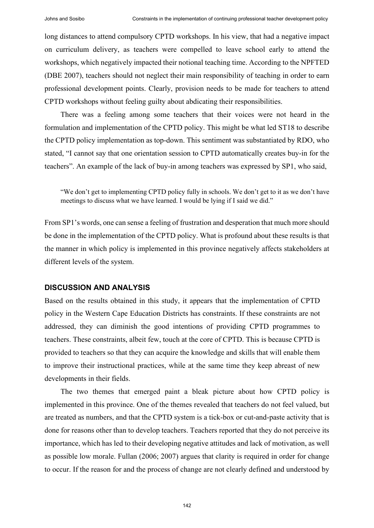long distances to attend compulsory CPTD workshops. In his view, that had a negative impact on curriculum delivery, as teachers were compelled to leave school early to attend the workshops, which negatively impacted their notional teaching time. According to the NPFTED (DBE 2007), teachers should not neglect their main responsibility of teaching in order to earn professional development points. Clearly, provision needs to be made for teachers to attend CPTD workshops without feeling guilty about abdicating their responsibilities.

There was a feeling among some teachers that their voices were not heard in the formulation and implementation of the CPTD policy. This might be what led ST18 to describe the CPTD policy implementation as top-down. This sentiment was substantiated by RDO, who stated, "I cannot say that one orientation session to CPTD automatically creates buy-in for the teachers". An example of the lack of buy-in among teachers was expressed by SP1, who said,

"We don't get to implementing CPTD policy fully in schools. We don't get to it as we don't have meetings to discuss what we have learned. I would be lying if I said we did."

From SP1's words, one can sense a feeling of frustration and desperation that much more should be done in the implementation of the CPTD policy. What is profound about these results is that the manner in which policy is implemented in this province negatively affects stakeholders at different levels of the system.

## **DISCUSSION AND ANALYSIS**

Based on the results obtained in this study, it appears that the implementation of CPTD policy in the Western Cape Education Districts has constraints. If these constraints are not addressed, they can diminish the good intentions of providing CPTD programmes to teachers. These constraints, albeit few, touch at the core of CPTD. This is because CPTD is provided to teachers so that they can acquire the knowledge and skills that will enable them to improve their instructional practices, while at the same time they keep abreast of new developments in their fields.

The two themes that emerged paint a bleak picture about how CPTD policy is implemented in this province. One of the themes revealed that teachers do not feel valued, but are treated as numbers, and that the CPTD system is a tick-box or cut-and-paste activity that is done for reasons other than to develop teachers. Teachers reported that they do not perceive its importance, which has led to their developing negative attitudes and lack of motivation, as well as possible low morale. Fullan (2006; 2007) argues that clarity is required in order for change to occur. If the reason for and the process of change are not clearly defined and understood by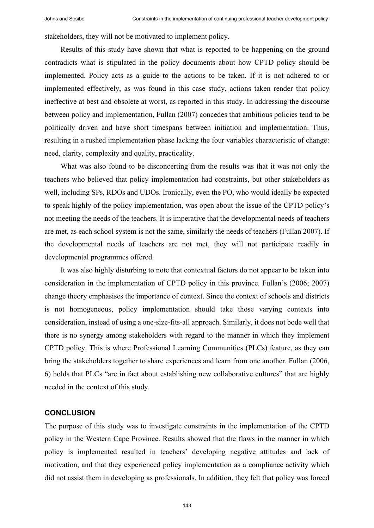stakeholders, they will not be motivated to implement policy.

Results of this study have shown that what is reported to be happening on the ground contradicts what is stipulated in the policy documents about how CPTD policy should be implemented. Policy acts as a guide to the actions to be taken. If it is not adhered to or implemented effectively, as was found in this case study, actions taken render that policy ineffective at best and obsolete at worst, as reported in this study. In addressing the discourse between policy and implementation, Fullan (2007) concedes that ambitious policies tend to be politically driven and have short timespans between initiation and implementation. Thus, resulting in a rushed implementation phase lacking the four variables characteristic of change: need, clarity, complexity and quality, practicality.

What was also found to be disconcerting from the results was that it was not only the teachers who believed that policy implementation had constraints, but other stakeholders as well, including SPs, RDOs and UDOs. Ironically, even the PO, who would ideally be expected to speak highly of the policy implementation, was open about the issue of the CPTD policy's not meeting the needs of the teachers. It is imperative that the developmental needs of teachers are met, as each school system is not the same, similarly the needs of teachers (Fullan 2007). If the developmental needs of teachers are not met, they will not participate readily in developmental programmes offered.

It was also highly disturbing to note that contextual factors do not appear to be taken into consideration in the implementation of CPTD policy in this province. Fullan's (2006; 2007) change theory emphasises the importance of context. Since the context of schools and districts is not homogeneous, policy implementation should take those varying contexts into consideration, instead of using a one-size-fits-all approach. Similarly, it does not bode well that there is no synergy among stakeholders with regard to the manner in which they implement CPTD policy. This is where Professional Learning Communities (PLCs) feature, as they can bring the stakeholders together to share experiences and learn from one another. Fullan (2006, 6) holds that PLCs "are in fact about establishing new collaborative cultures" that are highly needed in the context of this study.

## **CONCLUSION**

The purpose of this study was to investigate constraints in the implementation of the CPTD policy in the Western Cape Province. Results showed that the flaws in the manner in which policy is implemented resulted in teachers' developing negative attitudes and lack of motivation, and that they experienced policy implementation as a compliance activity which did not assist them in developing as professionals. In addition, they felt that policy was forced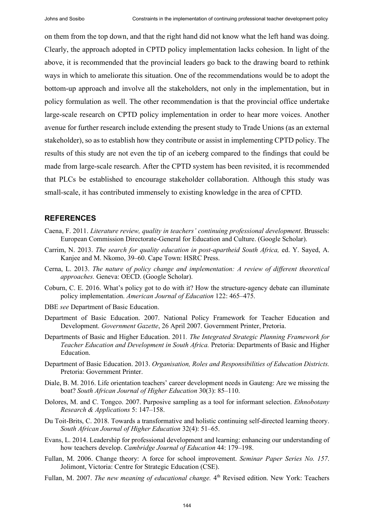on them from the top down, and that the right hand did not know what the left hand was doing. Clearly, the approach adopted in CPTD policy implementation lacks cohesion. In light of the above, it is recommended that the provincial leaders go back to the drawing board to rethink ways in which to ameliorate this situation. One of the recommendations would be to adopt the bottom-up approach and involve all the stakeholders, not only in the implementation, but in policy formulation as well. The other recommendation is that the provincial office undertake large-scale research on CPTD policy implementation in order to hear more voices. Another avenue for further research include extending the present study to Trade Unions (as an external stakeholder), so as to establish how they contribute or assist in implementing CPTD policy. The results of this study are not even the tip of an iceberg compared to the findings that could be made from large-scale research. After the CPTD system has been revisited, it is recommended that PLCs be established to encourage stakeholder collaboration. Although this study was small-scale, it has contributed immensely to existing knowledge in the area of CPTD.

#### **REFERENCES**

- Caena, F. 2011. *Literature review, quality in teachers' continuing professional development*. Brussels: European Commission Directorate-General for Education and Culture. (Google Scholar).
- Carrim, N. 2013. *The search for quality education in post-apartheid South Africa,* ed. Y. Sayed, A. Kanjee and M. Nkomo, 39–60. Cape Town: HSRC Press.
- Cerna, L. 2013. *The nature of policy change and implementation: A review of different theoretical approaches.* Geneva: OECD. (Google Scholar).
- Coburn, C. E. 2016. What's policy got to do with it? How the structure-agency debate can illuminate policy implementation. *American Journal of Education* 122: 465–475.
- DBE *see* Department of Basic Education.
- Department of Basic Education. 2007. National Policy Framework for Teacher Education and Development. *Government Gazette*, 26 April 2007. Government Printer, Pretoria.
- Departments of Basic and Higher Education. 2011*. The Integrated Strategic Planning Framework for Teacher Education and Development in South Africa.* Pretoria: Departments of Basic and Higher Education.
- Department of Basic Education. 2013. *Organisation, Roles and Responsibilities of Education Districts.* Pretoria: Government Printer.
- Diale, B. M. 2016. Life orientation teachers' career development needs in Gauteng: Are we missing the boat? South African Journal of Higher Education 30(3): 85-110.
- Dolores, M. and C. Tongco. 2007. Purposive sampling as a tool for informant selection. *Ethnobotany Research & Applications* 5: 147–158.
- Du Toit-Brits, C. 2018. Towards a transformative and holistic continuing self-directed learning theory. *South African Journal of Higher Education* 32(4): 51‒65.
- Evans, L. 2014. Leadership for professional development and learning: enhancing our understanding of how teachers develop. *Cambridge Journal of Education* 44: 179–198.
- Fullan, M. 2006. Change theory: A force for school improvement. *Seminar Paper Series No. 157*. Jolimont, Victoria: Centre for Strategic Education (CSE).
- Fullan, M. 2007. *The new meaning of educational change*. 4<sup>th</sup> Revised edition. New York: Teachers